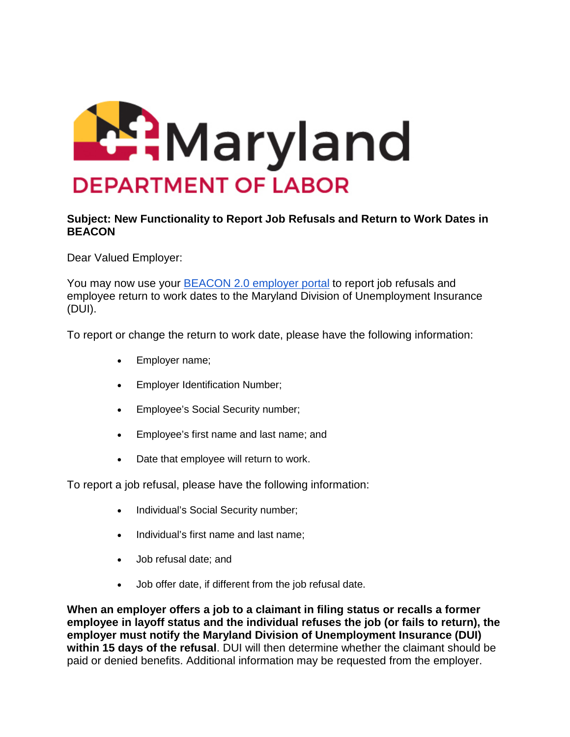

## **Subject: New Functionality to Report Job Refusals and Return to Work Dates in BEACON**

Dear Valued Employer:

You may now use your [BEACON 2.0 employer portal](https://lnks.gd/l/eyJhbGciOiJIUzI1NiJ9.eyJidWxsZXRpbl9saW5rX2lkIjoxMDAsInVyaSI6ImJwMjpjbGljayIsImJ1bGxldGluX2lkIjoiMjAyMTA0MjcuMzk1MTczMTEiLCJ1cmwiOiJodHRwczovL2VtcGxveWVyLmJlYWNvbi5sYWJvci5tZC5nb3YvIn0.LziUIx55ZS2689fp0wbj86m4pSFxZWTbMNSNN3kZOyk/s/528389167/br/105431615154-l) to report job refusals and employee return to work dates to the Maryland Division of Unemployment Insurance (DUI).

To report or change the return to work date, please have the following information:

- Employer name;
- Employer Identification Number;
- Employee's Social Security number;
- Employee's first name and last name; and
- Date that employee will return to work.

To report a job refusal, please have the following information:

- Individual's Social Security number;
- Individual's first name and last name;
- Job refusal date; and
- Job offer date, if different from the job refusal date.

**When an employer offers a job to a claimant in filing status or recalls a former employee in layoff status and the individual refuses the job (or fails to return), the employer must notify the Maryland Division of Unemployment Insurance (DUI) within 15 days of the refusal**. DUI will then determine whether the claimant should be paid or denied benefits. Additional information may be requested from the employer.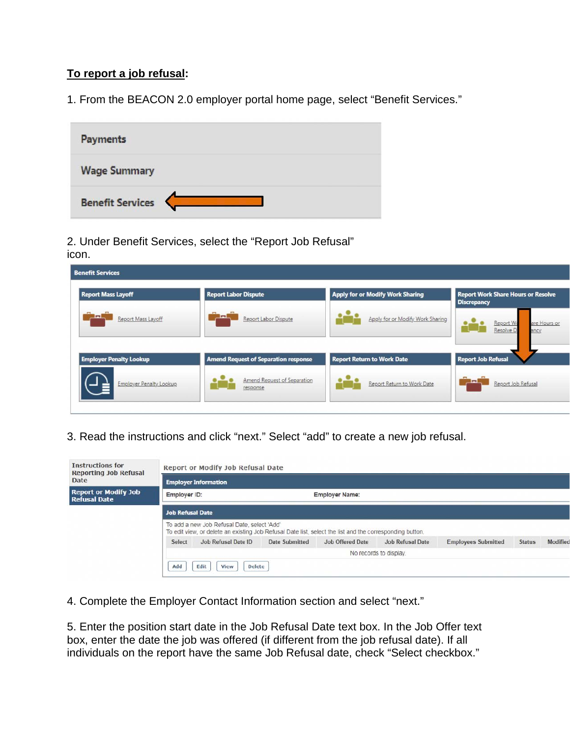## **To report a job refusal:**

1. From the BEACON 2.0 employer portal home page, select "Benefit Services."

| <b>Payments</b>         |  |
|-------------------------|--|
| <b>Wage Summary</b>     |  |
| <b>Benefit Services</b> |  |

2. Under Benefit Services, select the "Report Job Refusal" icon.

| <b>Report Mass Layoff</b>      | <b>Report Labor Dispute</b>                 | <b>Apply for or Modify Work Sharing</b> | <b>Report Work Share Hours or Resolve</b><br><b>Discrepancy</b> |
|--------------------------------|---------------------------------------------|-----------------------------------------|-----------------------------------------------------------------|
| −<br>Report Mass Layoff        | Report Labor Dispute                        | Apply for or Modify Work Sharing        | Report Wo<br>are Hours or<br>Resolve D<br>ancy                  |
| <b>Employer Penalty Lookup</b> | <b>Amend Request of Separation response</b> | <b>Report Return to Work Date</b>       | <b>Report Job Refusal</b>                                       |
|                                | Amend Request of Separation                 | Report Return to Work Date              | Report Job Refusal                                              |

3. Read the instructions and click "next." Select "add" to create a new job refusal.

| <b>Instructions for</b><br><b>Reporting Job Refusal</b> |                             | Report or Modify Job Refusal Date                                                                                                                       |                |                         |                        |                            |               |          |
|---------------------------------------------------------|-----------------------------|---------------------------------------------------------------------------------------------------------------------------------------------------------|----------------|-------------------------|------------------------|----------------------------|---------------|----------|
| Date                                                    | <b>Employer Information</b> |                                                                                                                                                         |                |                         |                        |                            |               |          |
| <b>Report or Modify Job</b><br><b>Refusal Date</b>      | Employer ID:                |                                                                                                                                                         |                | <b>Employer Name:</b>   |                        |                            |               |          |
|                                                         | <b>Job Refusal Date</b>     |                                                                                                                                                         |                |                         |                        |                            |               |          |
|                                                         |                             | To add a new Job Refusal Date, select 'Add'<br>To edit view, or delete an existing Job Refusal Date list, select the list and the corresponding button. |                |                         |                        |                            |               |          |
|                                                         | Select                      | Job Refusal Date ID                                                                                                                                     | Date Submitted | <b>Job Offered Date</b> | Job Refusal Date       | <b>Employees Submitted</b> | <b>Status</b> | Modified |
|                                                         |                             |                                                                                                                                                         |                |                         | No records to display. |                            |               |          |
|                                                         | Add                         | <b>Delete</b><br>Edit<br>View                                                                                                                           |                |                         |                        |                            |               |          |

4. Complete the Employer Contact Information section and select "next."

5. Enter the position start date in the Job Refusal Date text box. In the Job Offer text box, enter the date the job was offered (if different from the job refusal date). If all individuals on the report have the same Job Refusal date, check "Select checkbox."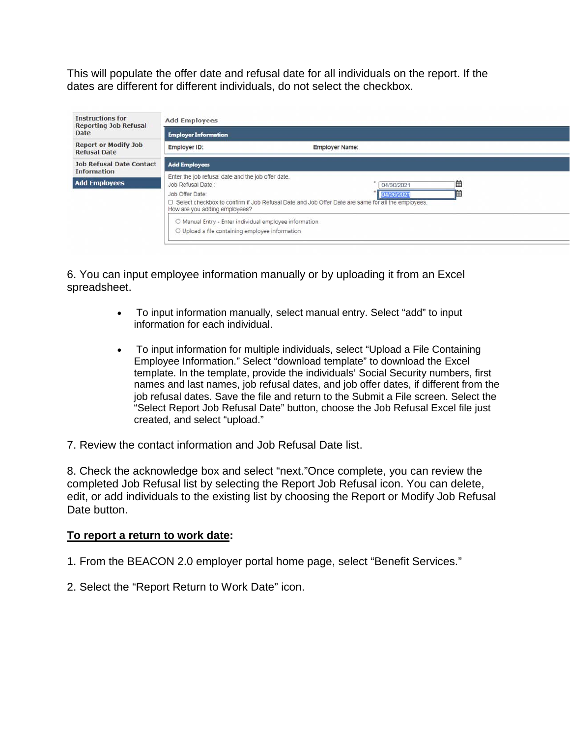This will populate the offer date and refusal date for all individuals on the report. If the dates are different for different individuals, do not select the checkbox.

| <b>Instructions for</b><br><b>Reporting Job Refusal</b><br><b>Date</b> | <b>Add Employees</b>                                                                                                                                                                                               |                       |  |  |  |
|------------------------------------------------------------------------|--------------------------------------------------------------------------------------------------------------------------------------------------------------------------------------------------------------------|-----------------------|--|--|--|
|                                                                        | <b>Employer Information</b>                                                                                                                                                                                        |                       |  |  |  |
| <b>Report or Modify Job</b><br><b>Refusal Date</b>                     | Employer ID:                                                                                                                                                                                                       | <b>Employer Name:</b> |  |  |  |
| <b>Job Refusal Date Contact</b><br><b>Information</b>                  | <b>Add Employees</b>                                                                                                                                                                                               |                       |  |  |  |
| <b>Add Employees</b>                                                   | Enter the job refusal date and the job offer date.                                                                                                                                                                 |                       |  |  |  |
|                                                                        | 箘<br>Job Refusal Date:<br>04/30/2021<br>Ħ<br>Job Offer Date:<br>04/26/2021<br>□ Select checkbox to confirm if Job Refusal Date and Job Offer Date are same for all the employees.<br>How are you adding employees? |                       |  |  |  |
|                                                                        | O Manual Entry - Enter individual employee information<br>O Upload a file containing employee information                                                                                                          |                       |  |  |  |

6. You can input employee information manually or by uploading it from an Excel spreadsheet.

- To input information manually, select manual entry. Select "add" to input information for each individual.
- To input information for multiple individuals, select "Upload a File Containing Employee Information." Select "download template" to download the Excel template. In the template, provide the individuals' Social Security numbers, first names and last names, job refusal dates, and job offer dates, if different from the job refusal dates. Save the file and return to the Submit a File screen. Select the "Select Report Job Refusal Date" button, choose the Job Refusal Excel file just created, and select "upload."
- 7. Review the contact information and Job Refusal Date list.

8. Check the acknowledge box and select "next."Once complete, you can review the completed Job Refusal list by selecting the Report Job Refusal icon. You can delete, edit, or add individuals to the existing list by choosing the Report or Modify Job Refusal Date button.

## **To report a return to work date:**

- 1. From the BEACON 2.0 employer portal home page, select "Benefit Services."
- 2. Select the "Report Return to Work Date" icon.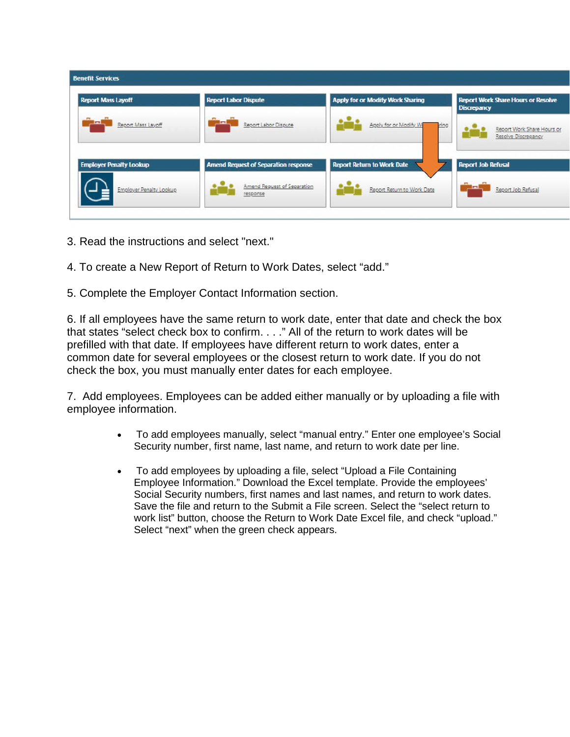| <b>Benefit Services</b>        |                                             |                                         |                                                                 |
|--------------------------------|---------------------------------------------|-----------------------------------------|-----------------------------------------------------------------|
| <b>Report Mass Layoff</b>      | <b>Report Labor Dispute</b>                 | <b>Apply for or Modify Work Sharing</b> | <b>Report Work Share Hours or Resolve</b><br><b>Discrepancy</b> |
| ш<br>Report Mass Layoff        | in<br>Report Labor Dispute                  | Apply for or Modify W<br>ring           | Report Work Share Hours or<br>Resolve Discrepancy               |
| <b>Employer Penalty Lookup</b> | <b>Amend Request of Separation response</b> | <b>Report Return to Work Date</b>       | <b>Report Job Refusal</b>                                       |
| <b>Employer Penalty Lookup</b> | Amend Request of Separation<br>response     | Report Return to Work Date              | E<br>Report Job Refusal                                         |

- 3. Read the instructions and select "next."
- 4. To create a New Report of Return to Work Dates, select "add."
- 5. Complete the Employer Contact Information section.

6. If all employees have the same return to work date, enter that date and check the box that states "select check box to confirm. . . ." All of the return to work dates will be prefilled with that date. If employees have different return to work dates, enter a common date for several employees or the closest return to work date. If you do not check the box, you must manually enter dates for each employee.

7. Add employees. Employees can be added either manually or by uploading a file with employee information.

- To add employees manually, select "manual entry." Enter one employee's Social Security number, first name, last name, and return to work date per line.
- To add employees by uploading a file, select "Upload a File Containing Employee Information." Download the Excel template. Provide the employees' Social Security numbers, first names and last names, and return to work dates. Save the file and return to the Submit a File screen. Select the "select return to work list" button, choose the Return to Work Date Excel file, and check "upload." Select "next" when the green check appears.